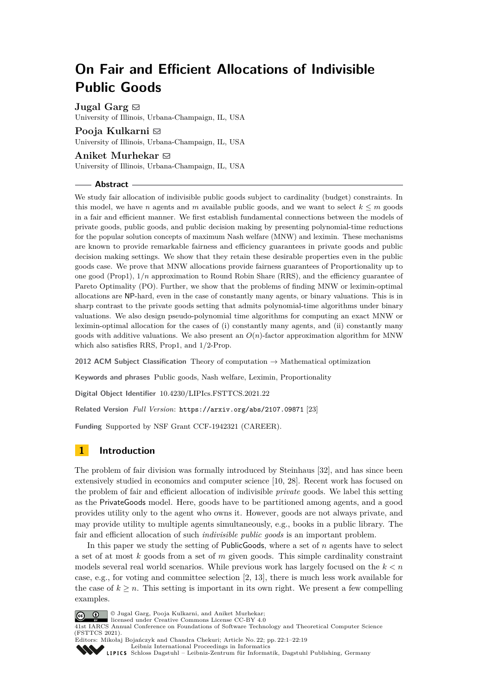# **On Fair and Efficient Allocations of Indivisible Public Goods**

**Jugal Garg**  $\boxtimes$ 

University of Illinois, Urbana-Champaign, IL, USA

# **Pooja Kulkarni** ⊠

University of Illinois, Urbana-Champaign, IL, USA

# Aniket Murhekar  $\boxdot$

University of Illinois, Urbana-Champaign, IL, USA

## **Abstract**

We study fair allocation of indivisible public goods subject to cardinality (budget) constraints. In this model, we have *n* agents and *m* available public goods, and we want to select  $k \leq m$  goods in a fair and efficient manner. We first establish fundamental connections between the models of private goods, public goods, and public decision making by presenting polynomial-time reductions for the popular solution concepts of maximum Nash welfare (MNW) and leximin. These mechanisms are known to provide remarkable fairness and efficiency guarantees in private goods and public decision making settings. We show that they retain these desirable properties even in the public goods case. We prove that MNW allocations provide fairness guarantees of Proportionality up to one good (Prop1), 1*/n* approximation to Round Robin Share (RRS), and the efficiency guarantee of Pareto Optimality (PO). Further, we show that the problems of finding MNW or leximin-optimal allocations are NP-hard, even in the case of constantly many agents, or binary valuations. This is in sharp contrast to the private goods setting that admits polynomial-time algorithms under binary valuations. We also design pseudo-polynomial time algorithms for computing an exact MNW or leximin-optimal allocation for the cases of (i) constantly many agents, and (ii) constantly many goods with additive valuations. We also present an  $O(n)$ -factor approximation algorithm for MNW which also satisfies RRS, Prop1, and 1*/*2-Prop.

**2012 ACM Subject Classification** Theory of computation → Mathematical optimization

**Keywords and phrases** Public goods, Nash welfare, Leximin, Proportionality

**Digital Object Identifier** [10.4230/LIPIcs.FSTTCS.2021.22](https://doi.org/10.4230/LIPIcs.FSTTCS.2021.22)

**Related Version** *Full Version*: <https://arxiv.org/abs/2107.09871> [\[23\]](#page-17-0)

**Funding** Supported by NSF Grant CCF-1942321 (CAREER).

# **1 Introduction**

The problem of fair division was formally introduced by Steinhaus [\[32\]](#page-17-1), and has since been extensively studied in economics and computer science [\[10,](#page-16-0) [28\]](#page-17-2). Recent work has focused on the problem of fair and efficient allocation of indivisible *private* goods. We label this setting as the PrivateGoods model. Here, goods have to be partitioned among agents, and a good provides utility only to the agent who owns it. However, goods are not always private, and may provide utility to multiple agents simultaneously, e.g., books in a public library. The fair and efficient allocation of such *indivisible public goods* is an important problem.

In this paper we study the setting of PublicGoods, where a set of *n* agents have to select a set of at most *k* goods from a set of *m* given goods. This simple cardinality constraint models several real world scenarios. While previous work has largely focused on the *k < n* case, e.g., for voting and committee selection [\[2,](#page-15-0) [13\]](#page-16-1), there is much less work available for the case of  $k \geq n$ . This setting is important in its own right. We present a few compelling examples.



<span id="page-0-0"></span>© Jugal Garg, Pooja Kulkarni, and Aniket Murhekar;

licensed under Creative Commons License CC-BY 4.0



[Leibniz International Proceedings in Informatics](https://www.dagstuhl.de/lipics/) [Schloss Dagstuhl – Leibniz-Zentrum für Informatik, Dagstuhl Publishing, Germany](https://www.dagstuhl.de)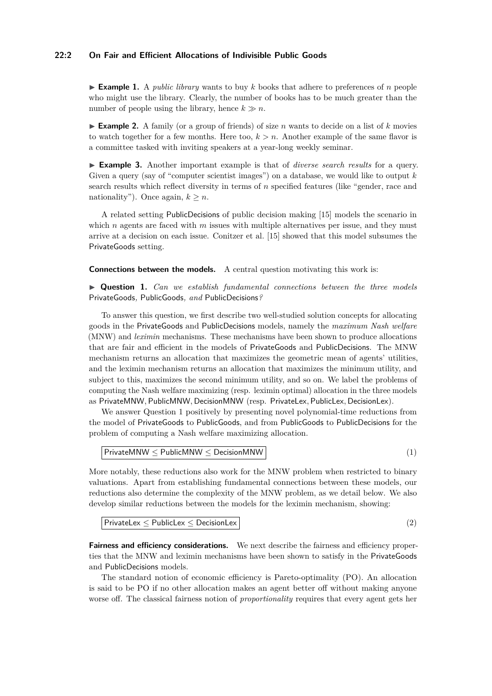# **22:2 On Fair and Efficient Allocations of Indivisible Public Goods**

 $\blacktriangleright$  **Example 1.** A *public library* wants to buy *k* books that adhere to preferences of *n* people who might use the library. Clearly, the number of books has to be much greater than the number of people using the library, hence  $k \gg n$ .

<span id="page-1-1"></span> $\triangleright$  **Example 2.** A family (or a group of friends) of size *n* wants to decide on a list of *k* movies to watch together for a few months. Here too,  $k > n$ . Another example of the same flavor is a committee tasked with inviting speakers at a year-long weekly seminar.

▶ **Example 3.** Another important example is that of *diverse search results* for a query. Given a query (say of "computer scientist images") on a database, we would like to output *k* search results which reflect diversity in terms of *n* specified features (like "gender, race and nationality"). Once again,  $k > n$ .

A related setting PublicDecisions of public decision making [\[15\]](#page-16-2) models the scenario in which *n* agents are faced with *m* issues with multiple alternatives per issue, and they must arrive at a decision on each issue. Conitzer et al. [\[15\]](#page-16-2) showed that this model subsumes the PrivateGoods setting.

<span id="page-1-0"></span>**Connections between the models.** A central question motivating this work is:

▶ **Question 1.** *Can we establish fundamental connections between the three models* PrivateGoods*,* PublicGoods*, and* PublicDecisions*?*

To answer this question, we first describe two well-studied solution concepts for allocating goods in the PrivateGoods and PublicDecisions models, namely the *maximum Nash welfare* (MNW) and *leximin* mechanisms. These mechanisms have been shown to produce allocations that are fair and efficient in the models of PrivateGoods and PublicDecisions. The MNW mechanism returns an allocation that maximizes the geometric mean of agents' utilities, and the leximin mechanism returns an allocation that maximizes the minimum utility, and subject to this, maximizes the second minimum utility, and so on. We label the problems of computing the Nash welfare maximizing (resp. leximin optimal) allocation in the three models as PrivateMNW*,* PublicMNW*,* DecisionMNW (resp. PrivateLex*,* PublicLex*,* DecisionLex).

We answer Question [1](#page-1-0) positively by presenting novel polynomial-time reductions from the model of PrivateGoods to PublicGoods, and from PublicGoods to PublicDecisions for the problem of computing a Nash welfare maximizing allocation.

<span id="page-1-2"></span>
$$
PrivateMMW \leq PublicMMW \leq DecisionMMW
$$
\n
$$
\tag{1}
$$

More notably, these reductions also work for the MNW problem when restricted to binary valuations. Apart from establishing fundamental connections between these models, our reductions also determine the complexity of the MNW problem, as we detail below. We also develop similar reductions between the models for the leximin mechanism, showing:

<span id="page-1-3"></span> $P$ rivateLex  $\leq$  PublicLex  $\leq$  DecisionLex  $\vert$  2)  $\vert$  2)

**Fairness and efficiency considerations.** We next describe the fairness and efficiency properties that the MNW and leximin mechanisms have been shown to satisfy in the PrivateGoods and PublicDecisions models.

The standard notion of economic efficiency is Pareto-optimality (PO). An allocation is said to be PO if no other allocation makes an agent better off without making anyone worse off. The classical fairness notion of *proportionality* requires that every agent gets her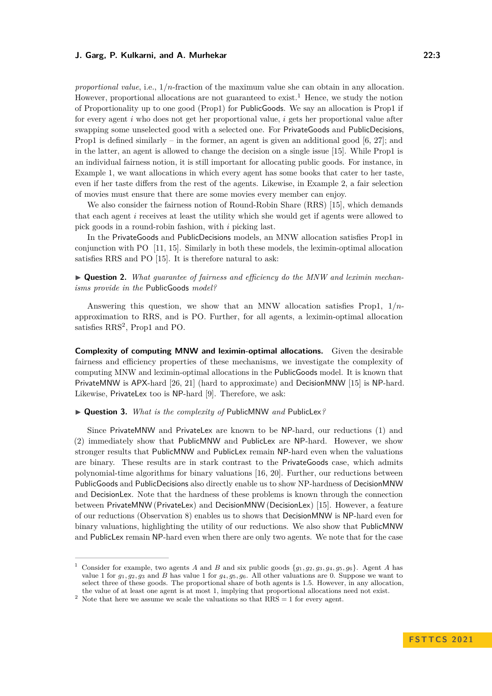*proportional value*, i.e., 1*/n*-fraction of the maximum value she can obtain in any allocation. However, proportional allocations are not guaranteed to exist.<sup>[1](#page-2-0)</sup> Hence, we study the notion of Proportionality up to one good (Prop1) for PublicGoods. We say an allocation is Prop1 if for every agent *i* who does not get her proportional value, *i* gets her proportional value after swapping some unselected good with a selected one. For PrivateGoods and PublicDecisions, Prop1 is defined similarly – in the former, an agent is given an additional good  $[6, 27]$  $[6, 27]$ ; and in the latter, an agent is allowed to change the decision on a single issue [\[15\]](#page-16-2). While Prop1 is an individual fairness notion, it is still important for allocating public goods. For instance, in Example [1,](#page-0-0) we want allocations in which every agent has some books that cater to her taste, even if her taste differs from the rest of the agents. Likewise, in Example [2,](#page-1-1) a fair selection of movies must ensure that there are some movies every member can enjoy.

We also consider the fairness notion of Round-Robin Share (RRS) [\[15\]](#page-16-2), which demands that each agent *i* receives at least the utility which she would get if agents were allowed to pick goods in a round-robin fashion, with *i* picking last.

In the PrivateGoods and PublicDecisions models, an MNW allocation satisfies Prop1 in conjunction with PO [\[11,](#page-16-4) [15\]](#page-16-2). Similarly in both these models, the leximin-optimal allocation satisfies RRS and PO [\[15\]](#page-16-2). It is therefore natural to ask:

▶ **Question 2.** *What guarantee of fairness and efficiency do the MNW and leximin mechanisms provide in the* PublicGoods *model?*

Answering this question, we show that an MNW allocation satisfies Prop1, 1*/n*approximation to RRS, and is PO. Further, for all agents, a leximin-optimal allocation satisfies RRS<sup>[2](#page-2-1)</sup>, Prop1 and PO.

**Complexity of computing MNW and leximin-optimal allocations.** Given the desirable fairness and efficiency properties of these mechanisms, we investigate the complexity of computing MNW and leximin-optimal allocations in the PublicGoods model. It is known that PrivateMNW is APX-hard [\[26,](#page-17-4) [21\]](#page-16-5) (hard to approximate) and DecisionMNW [\[15\]](#page-16-2) is NP-hard. Likewise, PrivateLex too is NP-hard [\[9\]](#page-16-6). Therefore, we ask:

▶ **Question 3.** *What is the complexity of* PublicMNW *and* PublicLex*?*

Since PrivateMNW and PrivateLex are known to be NP-hard, our reductions [\(1\)](#page-1-2) and [\(2\)](#page-1-3) immediately show that PublicMNW and PublicLex are NP-hard. However, we show stronger results that PublicMNW and PublicLex remain NP-hard even when the valuations are binary. These results are in stark contrast to the PrivateGoods case, which admits polynomial-time algorithms for binary valuations [\[16,](#page-16-7) [20\]](#page-16-8). Further, our reductions between PublicGoods and PublicDecisions also directly enable us to show NP-hardness of DecisionMNW and DecisionLex. Note that the hardness of these problems is known through the connection between PrivateMNW (PrivateLex) and DecisionMNW (DecisionLex) [\[15\]](#page-16-2). However, a feature of our reductions (Observation [8\)](#page-7-0) enables us to shows that DecisionMNW is NP-hard even for binary valuations, highlighting the utility of our reductions. We also show that PublicMNW and PublicLex remain NP-hard even when there are only two agents. We note that for the case

<span id="page-2-0"></span>Consider for example, two agents *A* and *B* and six public goods  $\{g_1, g_2, g_3, g_4, g_5, g_6\}$ . Agent *A* has value 1 for  $q_1, q_2, q_3$  and *B* has value 1 for  $q_4, q_5, q_6$ . All other valuations are 0. Suppose we want to select three of these goods. The proportional share of both agents is 1*.*5. However, in any allocation, the value of at least one agent is at most 1, implying that proportional allocations need not exist.

<span id="page-2-1"></span><sup>&</sup>lt;sup>2</sup> Note that here we assume we scale the valuations so that  $RRS = 1$  for every agent.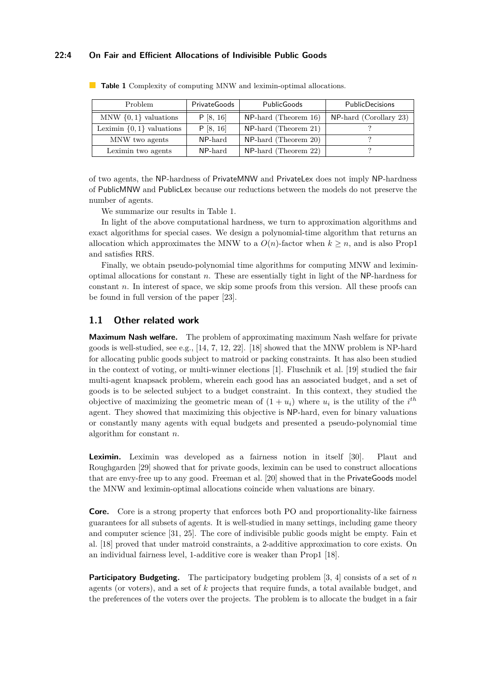# **22:4 On Fair and Efficient Allocations of Indivisible Public Goods**

| Problem                      | PrivateGoods | PublicGoods             | <b>PublicDecisions</b>    |
|------------------------------|--------------|-------------------------|---------------------------|
| MNW $\{0, 1\}$ valuations    | P [8, 16]    | $NP$ -hard (Theorem 16) | $NP$ -hard (Corollary 23) |
| Leximin $\{0,1\}$ valuations | P [8, 16]    | $NP$ -hard (Theorem 21) |                           |
| MNW two agents               | NP-hard      | $NP$ -hard (Theorem 20) |                           |
| Leximin two agents           | NP-hard      | $NP$ -hard (Theorem 22) |                           |

<span id="page-3-0"></span>**Table 1** Complexity of computing MNW and leximin-optimal allocations.

of two agents, the NP-hardness of PrivateMNW and PrivateLex does not imply NP-hardness of PublicMNW and PublicLex because our reductions between the models do not preserve the number of agents.

We summarize our results in Table [1.](#page-3-0)

In light of the above computational hardness, we turn to approximation algorithms and exact algorithms for special cases. We design a polynomial-time algorithm that returns an allocation which approximates the MNW to a  $O(n)$ -factor when  $k \geq n$ , and is also Prop1 and satisfies RRS.

Finally, we obtain pseudo-polynomial time algorithms for computing MNW and leximinoptimal allocations for constant *n*. These are essentially tight in light of the NP-hardness for constant *n*. In interest of space, we skip some proofs from this version. All these proofs can be found in full version of the paper [\[23\]](#page-17-0).

# **1.1 Other related work**

**Maximum Nash welfare.** The problem of approximating maximum Nash welfare for private goods is well-studied, see e.g.,  $[14, 7, 12, 22]$  $[14, 7, 12, 22]$  $[14, 7, 12, 22]$  $[14, 7, 12, 22]$  $[14, 7, 12, 22]$  $[14, 7, 12, 22]$  $[14, 7, 12, 22]$ . [\[18\]](#page-16-13) showed that the MNW problem is NP-hard for allocating public goods subject to matroid or packing constraints. It has also been studied in the context of voting, or multi-winner elections [\[1\]](#page-15-1). Fluschnik et al. [\[19\]](#page-16-14) studied the fair multi-agent knapsack problem, wherein each good has an associated budget, and a set of goods is to be selected subject to a budget constraint. In this context, they studied the objective of maximizing the geometric mean of  $(1 + u_i)$  where  $u_i$  is the utility of the  $i^{th}$ agent. They showed that maximizing this objective is NP-hard, even for binary valuations or constantly many agents with equal budgets and presented a pseudo-polynomial time algorithm for constant *n*.

**Leximin.** Leximin was developed as a fairness notion in itself [\[30\]](#page-17-6). Plaut and Roughgarden [\[29\]](#page-17-7) showed that for private goods, leximin can be used to construct allocations that are envy-free up to any good. Freeman et al. [\[20\]](#page-16-8) showed that in the PrivateGoods model the MNW and leximin-optimal allocations coincide when valuations are binary.

**Core.** Core is a strong property that enforces both PO and proportionality-like fairness guarantees for all subsets of agents. It is well-studied in many settings, including game theory and computer science [\[31,](#page-17-8) [25\]](#page-17-9). The core of indivisible public goods might be empty. Fain et al. [\[18\]](#page-16-13) proved that under matroid constraints, a 2-additive approximation to core exists. On an individual fairness level, 1-additive core is weaker than Prop1 [\[18\]](#page-16-13).

**Participatory Budgeting.** The participatory budgeting problem [\[3,](#page-16-15) [4\]](#page-16-16) consists of a set of *n* agents (or voters), and a set of *k* projects that require funds, a total available budget, and the preferences of the voters over the projects. The problem is to allocate the budget in a fair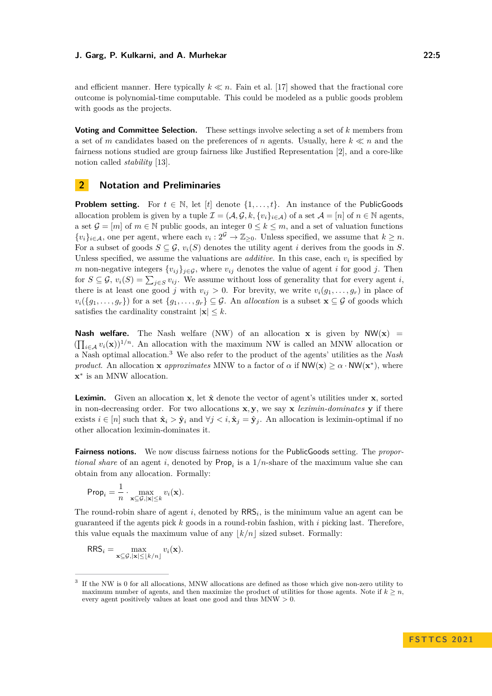and efficient manner. Here typically  $k \ll n$ . Fain et al. [\[17\]](#page-16-17) showed that the fractional core outcome is polynomial-time computable. This could be modeled as a public goods problem with goods as the projects.

**Voting and Committee Selection.** These settings involve selecting a set of *k* members from a set of *m* candidates based on the preferences of *n* agents. Usually, here *k* ≪ *n* and the fairness notions studied are group fairness like Justified Representation [\[2\]](#page-15-0), and a core-like notion called *stability* [\[13\]](#page-16-1).

# **2 Notation and Preliminaries**

**Problem setting.** For  $t \in \mathbb{N}$ , let  $[t]$  denote  $\{1, \ldots, t\}$ . An instance of the PublicGoods allocation problem is given by a tuple  $\mathcal{I} = (\mathcal{A}, \mathcal{G}, k, \{v_i\}_{i \in \mathcal{A}})$  of a set  $\mathcal{A} = [n]$  of  $n \in \mathbb{N}$  agents, a set  $\mathcal{G} = [m]$  of  $m \in \mathbb{N}$  public goods, an integer  $0 \leq k \leq m$ , and a set of valuation functions  $\{v_i\}_{i \in \mathcal{A}}$ , one per agent, where each  $v_i : 2^{\mathcal{G}} \to \mathbb{Z}_{\geq 0}$ . Unless specified, we assume that  $k \geq n$ . For a subset of goods  $S \subseteq \mathcal{G}$ ,  $v_i(S)$  denotes the utility agent *i* derives from the goods in *S*. Unless specified, we assume the valuations are *additive*. In this case, each  $v_i$  is specified by *m* non-negative integers  $\{v_{ij}\}_{j \in \mathcal{G}}$ , where  $v_{ij}$  denotes the value of agent *i* for good *j*. Then for  $S \subseteq \mathcal{G}$ ,  $v_i(S) = \sum_{j \in S} v_{ij}$ . We assume without loss of generality that for every agent *i*, there is at least one good *j* with  $v_{ij} > 0$ . For brevity, we write  $v_i(g_1, \ldots, g_r)$  in place of  $v_i({g_1},\ldots,g_r)$  for a set  ${g_1,\ldots,g_r}\subseteq \mathcal{G}$ . An *allocation* is a subset  $\mathbf{x}\subseteq \mathcal{G}$  of goods which satisfies the cardinality constraint  $|\mathbf{x}| \leq k$ .

**Nash welfare.** The Nash welfare (NW) of an allocation **x** is given by  $NW(x)$  =  $(\prod_{i\in\mathcal{A}} v_i(\mathbf{x}))^{1/n}$ . An allocation with the maximum NW is called an MNW allocation or a Nash optimal allocation.[3](#page-4-0) We also refer to the product of the agents' utilities as the *Nash product*. An allocation **x** *approximates* MNW to a factor of  $\alpha$  if  $NW(\mathbf{x}) \geq \alpha \cdot NW(\mathbf{x}^*)$ , where **x** ∗ is an MNW allocation.

**Leximin.** Given an allocation **x**, let  $\hat{\mathbf{x}}$  denote the vector of agent's utilities under **x**, sorted in non-decreasing order. For two allocations  $x, y$ , we say  $x$  *leximin-dominates*  $y$  if there exists  $i \in [n]$  such that  $\hat{\mathbf{x}}_i > \hat{\mathbf{y}}_i$  and  $\forall j < i, \hat{\mathbf{x}}_j = \hat{\mathbf{y}}_j$ . An allocation is leximin-optimal if no other allocation leximin-dominates it.

**Fairness notions.** We now discuss fairness notions for the PublicGoods setting. The *proportional share* of an agent *i*, denoted by  $\mathsf{Prop}_i$  is a  $1/n$ -share of the maximum value she can obtain from any allocation. Formally:

$$
\mathsf{Prop}_i = \frac{1}{n} \cdot \max_{\mathbf{x} \subseteq \mathcal{G}, |\mathbf{x}| \leq k} v_i(\mathbf{x}).
$$

The round-robin share of agent  $i$ , denoted by  $RRS_i$ , is the minimum value an agent can be guaranteed if the agents pick *k* goods in a round-robin fashion, with *i* picking last. Therefore, this value equals the maximum value of any  $|k/n|$  sized subset. Formally:

$$
RRS_i = \max_{\mathbf{x} \subseteq \mathcal{G}, |\mathbf{x}| \leq \lfloor k/n \rfloor} v_i(\mathbf{x}).
$$

<span id="page-4-0"></span><sup>3</sup> If the NW is 0 for all allocations, MNW allocations are defined as those which give non-zero utility to maximum number of agents, and then maximize the product of utilities for those agents. Note if  $k \geq n$ , every agent positively values at least one good and thus MNW *>* 0.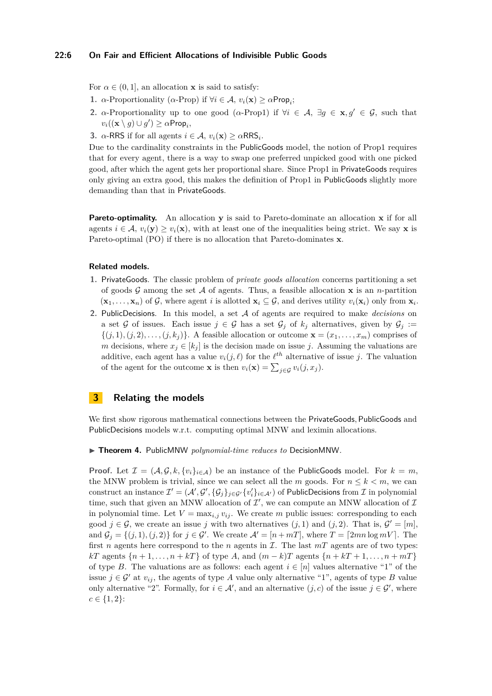# **22:6 On Fair and Efficient Allocations of Indivisible Public Goods**

For  $\alpha \in (0, 1]$ , an allocation **x** is said to satisfy:

- **1.** *α*-Proportionality (*α*-Prop) if  $\forall i \in A$ ,  $v_i(\mathbf{x}) \ge \alpha \text{Prop}_i$ ;
- **2.** *α*-Proportionality up to one good ( $\alpha$ -Prop1) if  $\forall i \in A$ ,  $\exists g \in \mathbf{x}, g' \in \mathcal{G}$ , such that  $v_i((\mathbf{x} \setminus g) \cup g') \geq \alpha \mathsf{Prop}_i,$
- **3.** *α*-RRS if for all agents  $i \in \mathcal{A}$ ,  $v_i(\mathbf{x}) \ge \alpha \text{RRS}_i$ .

Due to the cardinality constraints in the PublicGoods model, the notion of Prop1 requires that for every agent, there is a way to swap one preferred unpicked good with one picked good, after which the agent gets her proportional share. Since Prop1 in PrivateGoods requires only giving an extra good, this makes the definition of Prop1 in PublicGoods slightly more demanding than that in PrivateGoods.

**Pareto-optimality.** An allocation **y** is said to Pareto-dominate an allocation **x** if for all agents  $i \in \mathcal{A}$ ,  $v_i(\mathbf{y}) > v_i(\mathbf{x})$ , with at least one of the inequalities being strict. We say **x** is Pareto-optimal (PO) if there is no allocation that Pareto-dominates **x**.

# **Related models.**

- **1.** PrivateGoods. The classic problem of *private goods allocation* concerns partitioning a set of goods  $\mathcal G$  among the set  $\mathcal A$  of agents. Thus, a feasible allocation  $\mathbf x$  is an *n*-partition  $(\mathbf{x}_1, \ldots, \mathbf{x}_n)$  of G, where agent *i* is allotted  $\mathbf{x}_i \subseteq G$ , and derives utility  $v_i(\mathbf{x}_i)$  only from  $\mathbf{x}_i$ .
- **2.** PublicDecisions. In this model, a set A of agents are required to make *decisions* on a set G of issues. Each issue  $j \in \mathcal{G}$  has a set  $\mathcal{G}_j$  of  $k_j$  alternatives, given by  $\mathcal{G}_j :=$  $\{(j,1), (j,2), \ldots, (j,k_i)\}\$ . A feasible allocation or outcome  $\mathbf{x} = (x_1, \ldots, x_m)$  comprises of *m* decisions, where  $x_j \in [k_j]$  is the decision made on issue *j*. Assuming the valuations are additive, each agent has a value  $v_i(j, \ell)$  for the  $\ell^{th}$  alternative of issue *j*. The valuation of the agent for the outcome **x** is then  $v_i(\mathbf{x}) = \sum_{j \in \mathcal{G}} v_i(j, x_j)$ .

# <span id="page-5-1"></span>**3 Relating the models**

We first show rigorous mathematical connections between the PrivateGoods*,* PublicGoods and PublicDecisions models w.r.t. computing optimal MNW and leximin allocations.

<span id="page-5-0"></span>▶ **Theorem 4.** PublicMNW *polynomial-time reduces to* DecisionMNW*.*

**Proof.** Let  $\mathcal{I} = (\mathcal{A}, \mathcal{G}, k, \{v_i\}_{i \in \mathcal{A}})$  be an instance of the PublicGoods model. For  $k = m$ , the MNW problem is trivial, since we can select all the *m* goods. For  $n \leq k < m$ , we can construct an instance  $\mathcal{I}'=(\mathcal{A}',\mathcal{G}',\{\mathcal{G}_j\}_{j\in\mathcal{G}'}\{v'_i\}_{i\in\mathcal{A}'})$  of PublicDecisions from  $\mathcal I$  in polynomial time, such that given an MNW allocation of  $\mathcal{I}'$ , we can compute an MNW allocation of  $\mathcal{I}$ in polynomial time. Let  $V = \max_{i,j} v_{ij}$ . We create *m* public issues: corresponding to each good  $j \in \mathcal{G}$ , we create an issue *j* with two alternatives  $(j, 1)$  and  $(j, 2)$ . That is,  $\mathcal{G}' = [m]$ , and  $\mathcal{G}_j = \{(j, 1), (j, 2)\}$  for  $j \in \mathcal{G}'$ . We create  $\mathcal{A}' = [n + mT]$ , where  $T = [2mn \log mV]$ . The first *n* agents here correspond to the *n* agents in  $I$ . The last  $mT$  agents are of two types: *kT* agents  $\{n+1,\ldots,n+kT\}$  of type *A*, and  $(m-k)T$  agents  $\{n+kT+1,\ldots,n+mT\}$ of type *B*. The valuations are as follows: each agent  $i \in [n]$  values alternative "1" of the issue  $j \in \mathcal{G}'$  at  $v_{ij}$ , the agents of type *A* value only alternative "1", agents of type *B* value only alternative "2". Formally, for  $i \in \mathcal{A}'$ , and an alternative  $(j, c)$  of the issue  $j \in \mathcal{G}'$ , where  $c \in \{1, 2\}$ :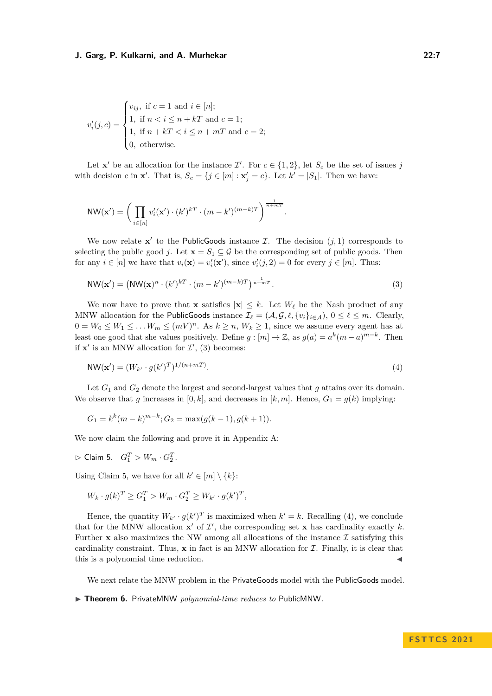$$
v'_{i}(j,c) = \begin{cases} v_{ij}, & \text{if } c = 1 \text{ and } i \in [n]; \\ 1, & \text{if } n < i \le n + kT \text{ and } c = 1; \\ 1, & \text{if } n + kT < i \le n + mT \text{ and } c = 2; \\ 0, & \text{otherwise.} \end{cases}
$$

Let **x**' be an allocation for the instance  $\mathcal{I}'$ . For  $c \in \{1, 2\}$ , let  $S_c$  be the set of issues *j* with decision *c* in **x**'. That is,  $S_c = \{j \in [m] : \mathbf{x}'_j = c\}$ . Let  $k' = |S_1|$ . Then we have:

$$
\text{NW}(\mathbf{x}') = \bigg(\prod_{i \in [n]} v_i'(\mathbf{x}') \cdot (k')^{kT} \cdot (m - k')^{(m-k)T}\bigg)^{\frac{1}{n+mT}}.
$$

We now relate  $x'$  to the PublicGoods instance  $\mathcal{I}$ . The decision  $(j, 1)$  corresponds to selecting the public good *j*. Let  $\mathbf{x} = S_1 \subseteq \mathcal{G}$  be the corresponding set of public goods. Then for any  $i \in [n]$  we have that  $v_i(\mathbf{x}) = v'_i(\mathbf{x}')$ , since  $v'_i(j, 2) = 0$  for every  $j \in [m]$ . Thus:

$$
\text{NW}(\mathbf{x}') = \left(\text{NW}(\mathbf{x})^n \cdot (k')^{k} \cdot (m - k')^{(m-k)T}\right)^{\frac{1}{n+mT}}.\tag{3}
$$

We now have to prove that **x** satisfies  $|\mathbf{x}| \leq k$ . Let  $W_{\ell}$  be the Nash product of any MNW allocation for the PublicGoods instance  $\mathcal{I}_{\ell} = (\mathcal{A}, \mathcal{G}, \ell, \{v_i\}_{i \in \mathcal{A}}), 0 \leq \ell \leq m$ . Clearly,  $0 = W_0 \leq W_1 \leq \ldots W_m \leq (mV)^n$ . As  $k \geq n$ ,  $W_k \geq 1$ , since we assume every agent has at least one good that she values positively. Define  $g : [m] \to \mathbb{Z}$ , as  $g(a) = a^k(m-a)^{m-k}$ . Then if  $x'$  is an MNW allocation for  $\mathcal{I}'$ , [\(3\)](#page-6-0) becomes:

$$
\mathsf{NW}(\mathbf{x}') = (W_{k'} \cdot g(k')^T)^{1/(n+m)}.
$$
\n
$$
(4)
$$

Let  $G_1$  and  $G_2$  denote the largest and second-largest values that  $g$  attains over its domain. We observe that *g* increases in  $[0, k]$ , and decreases in  $[k, m]$ . Hence,  $G_1 = g(k)$  implying:

$$
G_1 = k^k (m - k)^{m - k}; G_2 = \max(g(k - 1), g(k + 1)).
$$

<span id="page-6-1"></span>We now claim the following and prove it in Appendix [A:](#page-17-10)

<span id="page-6-2"></span><span id="page-6-0"></span>.

$$
\vartriangleright \text{ Claim 5.} \quad G_1^T > W_m \cdot G_2^T
$$

Using Claim [5,](#page-6-1) we have for all  $k' \in [m] \setminus \{k\}$ :

$$
W_k \cdot g(k)^T \ge G_1^T > W_m \cdot G_2^T \ge W_{k'} \cdot g(k')^T,
$$

Hence, the quantity  $W_{k'} \cdot g(k')^T$  is maximized when  $k' = k$ . Recalling [\(4\)](#page-6-2), we conclude that for the MNW allocation  $x'$  of  $\mathcal{I}'$ , the corresponding set  $x$  has cardinality exactly  $k$ . Further **x** also maximizes the NW among all allocations of the instance  $\mathcal{I}$  satisfying this cardinality constraint. Thus,  $x$  in fact is an MNW allocation for  $\mathcal{I}$ . Finally, it is clear that this is a polynomial time reduction.

We next relate the MNW problem in the PrivateGoods model with the PublicGoods model.

<sup>▶</sup> **Theorem 6.** PrivateMNW *polynomial-time reduces to* PublicMNW*.*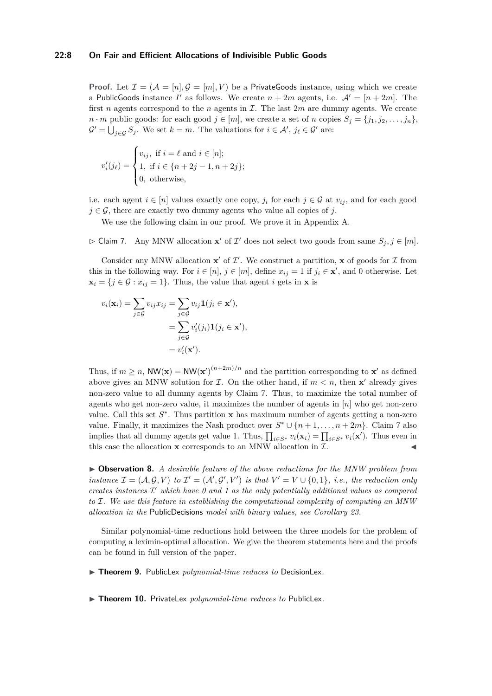# **22:8 On Fair and Efficient Allocations of Indivisible Public Goods**

**Proof.** Let  $\mathcal{I} = (\mathcal{A} = [n], \mathcal{G} = [m], V)$  be a PrivateGoods instance, using which we create a PublicGoods instance *I'* as follows. We create  $n + 2m$  agents, i.e.  $\mathcal{A}' = [n + 2m]$ . The first *n* agents correspond to the *n* agents in  $\mathcal{I}$ . The last  $2m$  are dummy agents. We create  $n \cdot m$  public goods: for each good  $j \in [m]$ , we create a set of *n* copies  $S_j = \{j_1, j_2, \ldots, j_n\}$ ,  $\mathcal{G}' = \bigcup_{j \in \mathcal{G}} S_j$ . We set  $k = m$ . The valuations for  $i \in \mathcal{A}'$ ,  $j_\ell \in \mathcal{G}'$  are:

$$
v'_{i}(j_{\ell}) = \begin{cases} v_{ij}, \text{ if } i = \ell \text{ and } i \in [n]; \\ 1, \text{ if } i \in \{n+2j-1, n+2j\}; \\ 0, \text{ otherwise}, \end{cases}
$$

i.e. each agent  $i \in [n]$  values exactly one copy,  $j_i$  for each  $j \in \mathcal{G}$  at  $v_{ij}$ , and for each good  $j \in \mathcal{G}$ , there are exactly two dummy agents who value all copies of *j*.

We use the following claim in our proof. We prove it in Appendix [A.](#page-17-10)

<span id="page-7-1"></span> $\triangleright$  Claim 7. Any MNW allocation **x'** of  $\mathcal{I}'$  does not select two goods from same  $S_j$ ,  $j \in [m]$ .

Consider any MNW allocation  $x'$  of  $\mathcal{I}'$ . We construct a partition, x of goods for  $\mathcal{I}$  from this in the following way. For  $i \in [n]$ ,  $j \in [m]$ , define  $x_{ij} = 1$  if  $j_i \in \mathbf{x}'$ , and 0 otherwise. Let  $\mathbf{x}_i = \{j \in \mathcal{G} : x_{ij} = 1\}.$  Thus, the value that agent *i* gets in **x** is

$$
v_i(\mathbf{x}_i) = \sum_{j \in \mathcal{G}} v_{ij} x_{ij} = \sum_{j \in \mathcal{G}} v_{ij} \mathbf{1}(j_i \in \mathbf{x}'),
$$
  
= 
$$
\sum_{j \in \mathcal{G}} v'_i(j_i) \mathbf{1}(j_i \in \mathbf{x}'),
$$
  
= 
$$
v'_i(\mathbf{x}').
$$

Thus, if  $m \ge n$ ,  $NW(\mathbf{x}) = NW(\mathbf{x}')^{(n+2m)/n}$  and the partition corresponding to  $\mathbf{x}'$  as defined above gives an MNW solution for  $\mathcal{I}$ . On the other hand, if  $m < n$ , then **x'** already gives non-zero value to all dummy agents by Claim [7.](#page-7-1) Thus, to maximize the total number of agents who get non-zero value, it maximizes the number of agents in [*n*] who get non-zero value. Call this set  $S^*$ . Thus partition **x** has maximum number of agents getting a non-zero value. Finally, it maximizes the Nash product over  $S^* \cup \{n+1,\ldots,n+2m\}$ . Claim [7](#page-7-1) also implies that all dummy agents get value 1. Thus,  $\prod_{i \in S^*} v_i(\mathbf{x}_i) = \prod_{i \in S^*} v_i(\mathbf{x}')$ . Thus even in this case the allocation **x** corresponds to an MNW allocation in  $\mathcal{I}$ .

<span id="page-7-0"></span>▶ **Observation 8.** *A desirable feature of the above reductions for the MNW problem from instance*  $\mathcal{I} = (\mathcal{A}, \mathcal{G}, V)$  *to*  $\mathcal{I}' = (\mathcal{A}', \mathcal{G}', V')$  *is that*  $V' = V \cup \{0, 1\}$ *, i.e., the reduction only creates instances* I ′ *which have 0 and 1 as the only potentially additional values as compared to* I*. We use this feature in establishing the computational complexity of computing an MNW allocation in the* PublicDecisions *model with binary values, see Corollary [23.](#page-14-0)*

Similar polynomial-time reductions hold between the three models for the problem of computing a leximin-optimal allocation. We give the theorem statements here and the proofs can be found in full version of the paper.

<span id="page-7-2"></span>▶ **Theorem 9.** PublicLex *polynomial-time reduces to* DecisionLex*.*

▶ **Theorem 10.** PrivateLex *polynomial-time reduces to* PublicLex*.*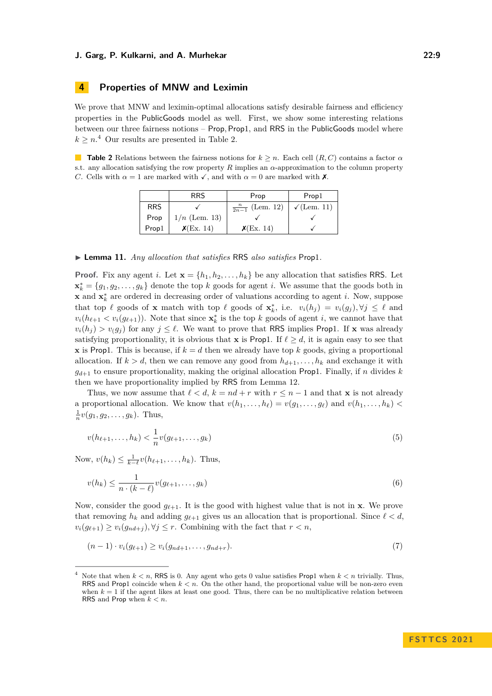# **4 Properties of MNW and Leximin**

We prove that MNW and leximin-optimal allocations satisfy desirable fairness and efficiency properties in the PublicGoods model as well. First, we show some interesting relations between our three fairness notions – Prop*,* Prop1, and RRS in the PublicGoods model where  $k \geq n$ <sup>[4](#page-8-0)</sup> Our results are presented in Table [2.](#page-8-1)

<span id="page-8-1"></span>**Table 2** Relations between the fairness notions for  $k \geq n$ . Each cell  $(R, C)$  contains a factor  $\alpha$ s.t. any allocation satisfying the row property *R* implies an *α*-approximation to the column property *C*. Cells with  $\alpha = 1$  are marked with  $\checkmark$ , and with  $\alpha = 0$  are marked with **X**.

|            | <b>RRS</b>      | Prop                       | Prop1                     |
|------------|-----------------|----------------------------|---------------------------|
| <b>RRS</b> |                 | $\frac{n}{2n-1}$ (Lem. 12) | $\sqrt{\text{(Lem. 11)}}$ |
| Prop       | $1/n$ (Lem. 13) |                            |                           |
| Prop1      | $\chi$ (Ex. 14) | $\chi$ (Ex. 14)            |                           |

#### <span id="page-8-2"></span>▶ **Lemma 11.** *Any allocation that satisfies* RRS *also satisfies* Prop1*.*

**Proof.** Fix any agent *i*. Let  $\mathbf{x} = \{h_1, h_2, \ldots, h_k\}$  be any allocation that satisfies RRS. Let  $\mathbf{x}_{k}^{*} = \{g_1, g_2, \ldots, g_k\}$  denote the top *k* goods for agent *i*. We assume that the goods both in **x** and **x**<sup>\*</sup><sub>*k*</sub> are ordered in decreasing order of valuations according to agent *i*. Now, suppose that top  $\ell$  goods of **x** match with top  $\ell$  goods of  $\mathbf{x}_{k}^{*}$ , i.e.  $v_{i}(h_{j}) = v_{i}(g_{j}), \forall j \leq \ell$  and  $v_i(h_{\ell+1} < v_i(g_{\ell+1}))$ . Note that since  $\mathbf{x}_k^*$  is the top *k* goods of agent *i*, we cannot have that  $v_i(h_i) > v_i(g_i)$  for any  $j \leq \ell$ . We want to prove that RRS implies Prop1. If **x** was already satisfying proportionality, it is obvious that **x** is Prop1. If  $\ell \geq d$ , it is again easy to see that **x** is Prop1. This is because, if  $k = d$  then we already have top k goods, giving a proportional allocation. If  $k > d$ , then we can remove any good from  $h_{d+1}, \ldots, h_k$  and exchange it with  $g_{d+1}$  to ensure proportionality, making the original allocation Prop1. Finally, if *n* divides *k* then we have proportionality implied by RRS from Lemma [12.](#page-9-0)

Thus, we now assume that  $\ell < d$ ,  $k = nd + r$  with  $r \leq n - 1$  and that **x** is not already a proportional allocation. We know that  $v(h_1, \ldots, h_\ell) = v(g_1, \ldots, g_\ell)$  and  $v(h_1, \ldots, h_k)$  $\frac{1}{n}v(g_1, g_2, \ldots, g_k)$ . Thus,

$$
v(h_{\ell+1},...,h_k) < \frac{1}{n}v(g_{\ell+1},...,g_k) \tag{5}
$$

Now,  $v(h_k) \leq \frac{1}{k-\ell}v(h_{\ell+1}, \ldots, h_k)$ . Thus,

<span id="page-8-4"></span>
$$
v(h_k) \le \frac{1}{n \cdot (k-\ell)} v(g_{\ell+1}, \dots, g_k)
$$
\n<sup>(6)</sup>

Now, consider the good  $g_{\ell+1}$ . It is the good with highest value that is not in **x**. We prove that removing  $h_k$  and adding  $g_{\ell+1}$  gives us an allocation that is proportional. Since  $\ell < d$ ,  $v_i(g_{\ell+1}) \geq v_i(g_{nd+j}), \forall j \leq r$ . Combining with the fact that  $r < n$ ,

<span id="page-8-3"></span>
$$
(n-1) \cdot v_i(g_{\ell+1}) \ge v_i(g_{nd+1}, \dots, g_{nd+r}). \tag{7}
$$

<span id="page-8-0"></span>Note that when  $k \leq n$ , RRS is 0. Any agent who gets 0 value satisfies Prop1 when  $k \leq n$  trivially. Thus, RRS and Prop1 coincide when  $k < n$ . On the other hand, the proportional value will be non-zero even when  $k = 1$  if the agent likes at least one good. Thus, there can be no multiplicative relation between RRS and Prop when *k < n*.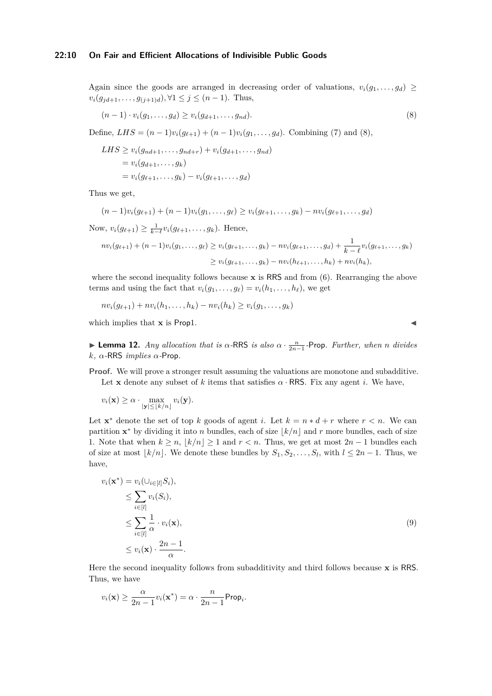Again since the goods are arranged in decreasing order of valuations,  $v_i(g_1, \ldots, g_d) \geq$  $v_i(g_{jd+1}, \ldots, g_{(j+1)d}), \forall 1 \leq j \leq (n-1)$ . Thus,

<span id="page-9-1"></span>
$$
(n-1)\cdot v_i(g_1,\ldots,g_d)\geq v_i(g_{d+1},\ldots,g_{nd}).\tag{8}
$$

Define,  $LHS = (n-1)v_i(g_{\ell+1}) + (n-1)v_i(g_1, \ldots, g_d)$ . Combining [\(7\)](#page-8-3) and [\(8\)](#page-9-1),

LHS 
$$
\geq v_i(g_{nd+1}, \ldots, g_{nd+r}) + v_i(g_{d+1}, \ldots, g_{nd})
$$
  
=  $v_i(g_{d+1}, \ldots, g_k)$   
=  $v_i(g_{\ell+1}, \ldots, g_k) - v_i(g_{\ell+1}, \ldots, g_d)$ 

Thus we get,

$$
(n-1)v_i(g_{\ell+1}) + (n-1)v_i(g_1,\ldots,g_\ell) \ge v_i(g_{\ell+1},\ldots,g_k) - nv_i(g_{\ell+1},\ldots,g_d)
$$

Now,  $v_i(g_{\ell+1}) \geq \frac{1}{k-\ell}v_i(g_{\ell+1},...,g_k)$ . Hence,

$$
nv_i(g_{\ell+1}) + (n-1)v_i(g_1, \ldots, g_{\ell}) \ge v_i(g_{\ell+1}, \ldots, g_k) - nv_i(g_{\ell+1}, \ldots, g_d) + \frac{1}{k-\ell}v_i(g_{\ell+1}, \ldots, g_k)
$$
  

$$
\ge v_i(g_{\ell+1}, \ldots, g_k) - nv_i(h_{\ell+1}, \ldots, h_k) + nv_i(h_k),
$$

where the second inequality follows because **x** is RRS and from [\(6\)](#page-8-4). Rearranging the above terms and using the fact that  $v_i(g_1, \ldots, g_\ell) = v_i(h_1, \ldots, h_\ell)$ , we get

$$
nv_i(g_{\ell+1}) + nv_i(h_1,\ldots,h_k) - nv_i(h_k) \ge v_i(g_1,\ldots,g_k)
$$

which implies that  $\bf{x}$  is Prop1.  $\triangleleft$ 

<span id="page-9-0"></span> $▶$  **Lemma 12.** *Any allocation that is α*-RRS *is also*  $α \cdot \frac{n}{2n-1}$ -Prop. *Further, when n divides k, α-*RRS *implies α-*Prop*.*

**Proof.** We will prove a stronger result assuming the valuations are monotone and subadditive. Let **x** denote any subset of k items that satisfies  $\alpha$  · RRS. Fix any agent *i*. We have,

$$
v_i(\mathbf{x}) \ge \alpha \cdot \max_{|\mathbf{y}| \le \lfloor k/n \rfloor} v_i(\mathbf{y}).
$$

Let  $\mathbf{x}^*$  denote the set of top *k* goods of agent *i*. Let  $k = n * d + r$  where  $r < n$ . We can partition  $\mathbf{x}^*$  by dividing it into *n* bundles, each of size  $\lfloor k/n \rfloor$  and *r* more bundles, each of size 1. Note that when  $k \geq n, |k/n| \geq 1$  and  $r < n$ . Thus, we get at most  $2n - 1$  bundles each of size at most  $\lfloor k/n \rfloor$ . We denote these bundles by  $S_1, S_2, \ldots, S_l$ , with  $l \leq 2n - 1$ . Thus, we have,

<span id="page-9-2"></span>
$$
v_i(\mathbf{x}^*) = v_i(\cup_{i \in [l]} S_i),
$$
  
\n
$$
\leq \sum_{i \in [l]} v_i(S_i),
$$
  
\n
$$
\leq \sum_{i \in [l]} \frac{1}{\alpha} \cdot v_i(\mathbf{x}),
$$
  
\n
$$
\leq v_i(\mathbf{x}) \cdot \frac{2n-1}{\alpha}.
$$
\n(9)

Here the second inequality follows from subadditivity and third follows because **x** is RRS. Thus, we have

$$
v_i(\mathbf{x}) \ge \frac{\alpha}{2n-1} v_i(\mathbf{x}^*) = \alpha \cdot \frac{n}{2n-1} \mathsf{Prop}_i.
$$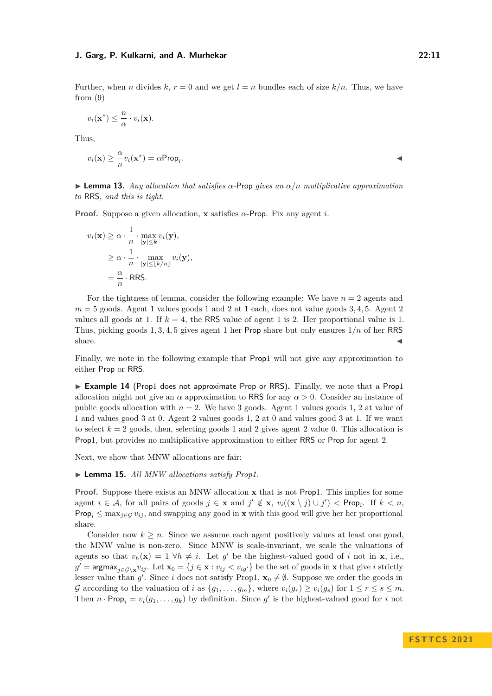Further, when *n* divides  $k, r = 0$  and we get  $l = n$  bundles each of size  $k/n$ . Thus, we have from  $(9)$ 

$$
v_i(\mathbf{x}^*) \leq \frac{n}{\alpha} \cdot v_i(\mathbf{x}).
$$

Thus,

$$
v_i(\mathbf{x}) \geq \frac{\alpha}{n} v_i(\mathbf{x}^*) = \alpha \mathsf{Prop}_i.
$$

<span id="page-10-0"></span>▶ **Lemma 13.** *Any allocation that satisfies α-*Prop *gives an α/n multiplicative approximation to* RRS*, and this is tight.*

**Proof.** Suppose a given allocation, **x** satisfies *α*-Prop. Fix any agent *i*.

$$
v_i(\mathbf{x}) \ge \alpha \cdot \frac{1}{n} \cdot \max_{|\mathbf{y}| \le k} v_i(\mathbf{y}),
$$
  
 
$$
\ge \alpha \cdot \frac{1}{n} \cdot \max_{|\mathbf{y}| \le \lfloor k/n \rfloor} v_i(\mathbf{y}),
$$
  
 
$$
= \frac{\alpha}{n} \cdot \text{RRS}.
$$

For the tightness of lemma, consider the following example: We have *n* = 2 agents and *m* = 5 goods. Agent 1 values goods 1 and 2 at 1 each, does not value goods 3*,* 4*,* 5. Agent 2 values all goods at 1. If  $k = 4$ , the RRS value of agent 1 is 2. Her proportional value is 1. Thus, picking goods 1*,* 3*,* 4*,* 5 gives agent 1 her Prop share but only ensures 1*/n* of her RRS share.  $\blacktriangleleft$ 

Finally, we note in the following example that Prop1 will not give any approximation to either Prop or RRS.

<span id="page-10-1"></span>▶ **Example 14** (Prop1 does not approximate Prop or RRS). Finally, we note that a Prop1 allocation might not give an  $\alpha$  approximation to RRS for any  $\alpha > 0$ . Consider an instance of public goods allocation with  $n = 2$ . We have 3 goods. Agent 1 values goods 1, 2 at value of 1 and values good 3 at 0. Agent 2 values goods 1, 2 at 0 and values good 3 at 1. If we want to select  $k = 2$  goods, then, selecting goods 1 and 2 gives agent 2 value 0. This allocation is Prop1, but provides no multiplicative approximation to either RRS or Prop for agent 2.

<span id="page-10-2"></span>Next, we show that MNW allocations are fair:

#### ▶ **Lemma 15.** *All MNW allocations satisfy Prop1.*

**Proof.** Suppose there exists an MNW allocation **x** that is not Prop1. This implies for some agent  $i \in \mathcal{A}$ , for all pairs of goods  $j \in \mathbf{x}$  and  $j' \notin \mathbf{x}$ ,  $v_i((\mathbf{x} \setminus j) \cup j') <$  Prop<sub>i</sub>. If  $k < n$ , Prop<sub>i</sub>  $\leq$  max<sub>*j*∈G</sub>  $v_{ij}$ , and swapping any good in **x** with this good will give her her proportional share.

Consider now  $k \geq n$ . Since we assume each agent positively values at least one good, the MNW value is non-zero. Since MNW is scale-invariant, we scale the valuations of agents so that  $v_h(\mathbf{x}) = 1 \ \forall h \neq i$ . Let g' be the highest-valued good of *i* not in **x**, i.e., *g*<sup>'</sup> = argmax<sub>*j*∈G\x</sub>*v*<sub>*ij*</sub>. Let  $\mathbf{x}_0 = \{j \in \mathbf{x} : v_{ij} < v_{ig'}\}$  be the set of goods in **x** that give *i* strictly lesser value than *g'*. Since *i* does not satisfy Prop1,  $\mathbf{x}_0 \neq \emptyset$ . Suppose we order the goods in G according to the valuation of *i* as  $\{g_1, \ldots, g_m\}$ , where  $v_i(g_r) \ge v_i(g_s)$  for  $1 \le r \le s \le m$ . Then  $n \cdot \text{Prop}_i = v_i(g_1, \ldots, g_k)$  by definition. Since  $g'$  is the highest-valued good for *i* not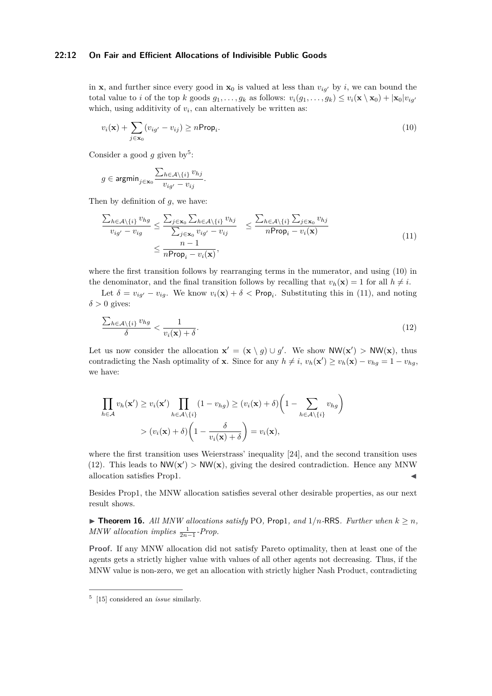# **22:12 On Fair and Efficient Allocations of Indivisible Public Goods**

in **x**, and further since every good in  $\mathbf{x}_0$  is valued at less than  $v_{i\alpha'}$  by *i*, we can bound the total value to *i* of the top *k* goods  $g_1, \ldots, g_k$  as follows:  $v_i(g_1, \ldots, g_k) \leq v_i(\mathbf{x} \setminus \mathbf{x}_0) + |\mathbf{x}_0|v_{iq'}$ which, using additivity of  $v_i$ , can alternatively be written as:

<span id="page-11-2"></span>
$$
v_i(\mathbf{x}) + \sum_{j \in \mathbf{x}_0} (v_{ig'} - v_{ij}) \ge n \text{Prop}_i.
$$
 (10)

Consider a good  $g$  given by<sup>[5](#page-11-1)</sup>:

$$
g\in \text{argmin}_{j\in \mathbf{x}_0} \frac{\sum_{h\in \mathcal{A}\backslash \{i\}} v_{hj}}{v_{ig'}-v_{ij}}.
$$

Then by definition of *g*, we have:

<span id="page-11-3"></span>
$$
\frac{\sum_{h \in \mathcal{A}\backslash\{i\}} v_{hg}}{v_{ig'} - v_{ig}} \le \frac{\sum_{j \in \mathbf{x}_0} \sum_{h \in \mathcal{A}\backslash\{i\}} v_{hj}}{\sum_{j \in \mathbf{x}_0} v_{ig'} - v_{ij}} \le \frac{\sum_{h \in \mathcal{A}\backslash\{i\}} \sum_{j \in \mathbf{x}_0} v_{hj}}{n \text{Prop}_i - v_i(\mathbf{x})}
$$
\n
$$
\le \frac{n-1}{n \text{Prop}_i - v_i(\mathbf{x})},
$$
\n(11)

where the first transition follows by rearranging terms in the numerator, and using [\(10\)](#page-11-2) in the denominator, and the final transition follows by recalling that  $v_h(\mathbf{x}) = 1$  for all  $h \neq i$ .

Let  $\delta = v_{ig'} - v_{ig}$ . We know  $v_i(\mathbf{x}) + \delta < \text{Prop}_i$ . Substituting this in [\(11\)](#page-11-3), and noting  $\delta > 0$  gives:

<span id="page-11-4"></span>
$$
\frac{\sum_{h\in\mathcal{A}\setminus\{i\}}v_{hg}}{\delta} < \frac{1}{v_i(\mathbf{x}) + \delta}.\tag{12}
$$

Let us now consider the allocation  $\mathbf{x}' = (\mathbf{x} \setminus g) \cup g'$ . We show  $NW(\mathbf{x}') > NW(\mathbf{x})$ , thus contradicting the Nash optimality of **x**. Since for any  $h \neq i$ ,  $v_h(\mathbf{x}') \geq v_h(\mathbf{x}) - v_{hg} = 1 - v_{hg}$ , we have:

$$
\prod_{h \in \mathcal{A}} v_h(\mathbf{x}') \ge v_i(\mathbf{x}') \prod_{h \in \mathcal{A} \setminus \{i\}} (1 - v_{hg}) \ge (v_i(\mathbf{x}) + \delta) \left(1 - \sum_{h \in \mathcal{A} \setminus \{i\}} v_{hg}\right)
$$
\n
$$
> (v_i(\mathbf{x}) + \delta) \left(1 - \frac{\delta}{v_i(\mathbf{x}) + \delta}\right) = v_i(\mathbf{x}),
$$

where the first transition uses Weierstrass' inequality [\[24\]](#page-17-11), and the second transition uses [\(12\)](#page-11-4). This leads to  $NW(\mathbf{x}') > NW(\mathbf{x})$ , giving the desired contradiction. Hence any MNW allocation satisfies Prop1.

Besides Prop1, the MNW allocation satisfies several other desirable properties, as our next result shows.

<span id="page-11-0"></span> $\blacktriangleright$  **Theorem 16.** All MNW allocations satisfy PO, Prop1, and 1/n-RRS. Further when  $k \geq n$ , *MNW allocation implies*  $\frac{1}{2n-1}$ -Prop.

**Proof.** If any MNW allocation did not satisfy Pareto optimality, then at least one of the agents gets a strictly higher value with values of all other agents not decreasing. Thus, if the MNW value is non-zero, we get an allocation with strictly higher Nash Product, contradicting

<span id="page-11-1"></span><sup>5</sup> [\[15\]](#page-16-2) considered an *issue* similarly.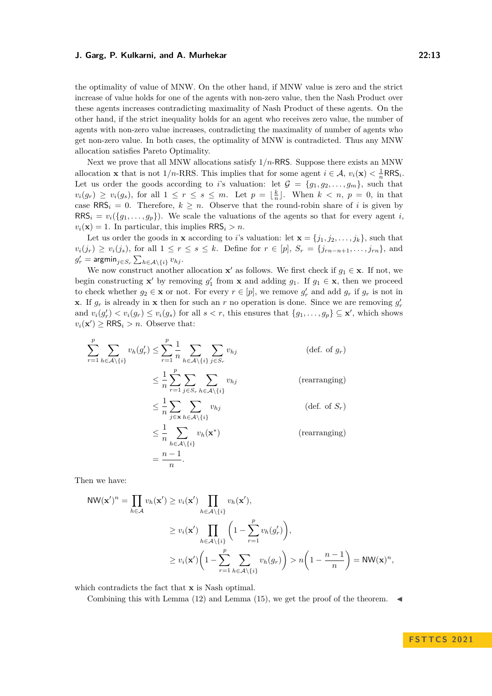the optimality of value of MNW. On the other hand, if MNW value is zero and the strict increase of value holds for one of the agents with non-zero value, then the Nash Product over these agents increases contradicting maximality of Nash Product of these agents. On the other hand, if the strict inequality holds for an agent who receives zero value, the number of agents with non-zero value increases, contradicting the maximality of number of agents who get non-zero value. In both cases, the optimality of MNW is contradicted. Thus any MNW allocation satisfies Pareto Optimality.

Next we prove that all MNW allocations satisfy 1*/n*-RRS. Suppose there exists an MNW allocation **x** that is not 1/n-RRS. This implies that for some agent  $i \in \mathcal{A}$ ,  $v_i(\mathbf{x}) < \frac{1}{n} RRS_i$ . Let us order the goods according to *i*'s valuation: let  $\mathcal{G} = \{g_1, g_2, \ldots, g_m\}$ , such that  $v_i(g_r) \geq v_i(g_s)$ , for all  $1 \leq r \leq s \leq m$ . Let  $p = \lfloor \frac{k}{n} \rfloor$ . When  $k < n$ ,  $p = 0$ , in that case  $RRS_i = 0$ . Therefore,  $k \geq n$ . Observe that the round-robin share of *i* is given by  $RRS_i = v_i({g_1, \ldots, g_p})$ . We scale the valuations of the agents so that for every agent *i*,  $v_i(\mathbf{x}) = 1$ . In particular, this implies  $\mathsf{RRS}_i > n$ .

Let us order the goods in **x** according to *i*'s valuation: let  $\mathbf{x} = \{j_1, j_2, \dots, j_k\}$ , such that  $v_i(j_r) \geq v_i(j_s)$ , for all  $1 \leq r \leq s \leq k$ . Define for  $r \in [p]$ ,  $S_r = \{j_{rn-n+1}, \ldots, j_{rn}\}$ , and  $g'_r = \operatorname{\textsf{argmin}}_{j \in S_r} \sum_{h \in \mathcal{A} \setminus \{i\}} v_{hj}.$ 

We now construct another allocation **x**' as follows. We first check if  $g_1 \in \mathbf{x}$ . If not, we begin constructing **x**' by removing  $g'_1$  from **x** and adding  $g_1$ . If  $g_1 \in \mathbf{x}$ , then we proceed to check whether  $g_2 \in \mathbf{x}$  or not. For every  $r \in [p]$ , we remove  $g'_r$  and add  $g_r$  if  $g_r$  is not in **x**. If  $g_r$  is already in **x** then for such an *r* no operation is done. Since we are removing  $g'_r$ and  $v_i(g'_r) < v_i(g_r) \le v_i(g_s)$  for all  $s < r$ , this ensures that  $\{g_1, \ldots, g_p\} \subseteq \mathbf{x}'$ , which shows  $v_i(\mathbf{x}') \geq \text{RRS}_i > n$ . Observe that:

$$
\sum_{r=1}^{p} \sum_{h \in \mathcal{A} \setminus \{i\}} v_h(g'_r) \le \sum_{r=1}^{p} \frac{1}{n} \sum_{h \in \mathcal{A} \setminus \{i\}} \sum_{j \in S_r} v_{hj} \qquad \text{(def. of } g_r)
$$
\n
$$
\le \frac{1}{n} \sum_{r=1}^{p} \sum_{j \in S_r} \sum_{h \in \mathcal{A} \setminus \{i\}} v_{hj} \qquad \text{(rearranging)}
$$
\n
$$
\le \frac{1}{n} \sum_{j \in \mathbf{x}} \sum_{h \in \mathcal{A} \setminus \{i\}} v_{hj} \qquad \text{(def. of } S_r)
$$
\n
$$
\le \frac{1}{n} \sum_{h \in \mathcal{A} \setminus \{i\}} v_h(\mathbf{x}^*) \qquad \text{(rearranging)}
$$
\n
$$
= \frac{n-1}{n}.
$$
\n(10)

Then we have:

$$
\begin{split} \text{NW}(\mathbf{x}')^{n} &= \prod_{h \in \mathcal{A}} v_{h}(\mathbf{x}') \ge v_{i}(\mathbf{x}') \prod_{h \in \mathcal{A} \setminus \{i\}} v_{h}(\mathbf{x}'), \\ &\ge v_{i}(\mathbf{x}') \prod_{h \in \mathcal{A} \setminus \{i\}} \left(1 - \sum_{r=1}^{p} v_{h}(g_{r}')\right), \\ &\ge v_{i}(\mathbf{x}') \left(1 - \sum_{r=1}^{p} \sum_{h \in \mathcal{A} \setminus \{i\}} v_{h}(g_{r})\right) > n \left(1 - \frac{n-1}{n}\right) = \text{NW}(\mathbf{x})^{n}, \end{split}
$$

which contradicts the fact that **x** is Nash optimal.

Combining this with Lemma [\(12\)](#page-9-0) and Lemma [\(15\)](#page-10-2), we get the proof of the theorem.  $\blacktriangleleft$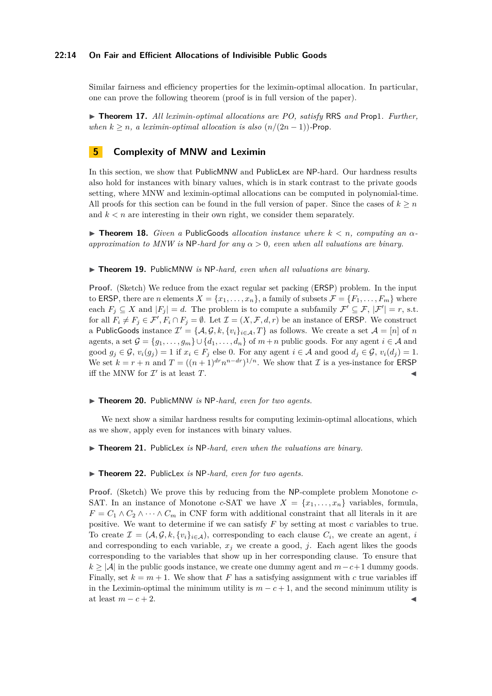## **22:14 On Fair and Efficient Allocations of Indivisible Public Goods**

Similar fairness and efficiency properties for the leximin-optimal allocation. In particular, one can prove the following theorem (proof is in full version of the paper).

▶ **Theorem 17.** *All leximin-optimal allocations are PO, satisfy* RRS *and* Prop1*. Further, when*  $k \geq n$ , a leximin-optimal allocation is also  $(n/(2n-1))$ -Prop.

# **5 Complexity of MNW and Leximin**

In this section, we show that PublicMNW and PublicLex are NP-hard. Our hardness results also hold for instances with binary values, which is in stark contrast to the private goods setting, where MNW and leximin-optimal allocations can be computed in polynomial-time. All proofs for this section can be found in the full version of paper. Since the cases of  $k \geq n$ and  $k < n$  are interesting in their own right, we consider them separately.

 $\triangleright$  **Theorem 18.** *Given a* PublicGoods *allocation instance where*  $k < n$ *, computing an*  $\alpha$ *approximation to MNW is* NP*-hard for any α >* 0*, even when all valuations are binary.*

#### <span id="page-13-3"></span>▶ **Theorem 19.** PublicMNW *is* NP*-hard, even when all valuations are binary.*

**Proof.** (Sketch) We reduce from the exact regular set packing (**ERSP**) problem. In the input to ERSP, there are *n* elements  $X = \{x_1, \ldots, x_n\}$ , a family of subsets  $\mathcal{F} = \{F_1, \ldots, F_m\}$  where each  $F_j \subseteq X$  and  $|F_j| = d$ . The problem is to compute a subfamily  $\mathcal{F}' \subseteq \mathcal{F}$ ,  $|\mathcal{F}'| = r$ , s.t. for all  $F_i \neq F_j \in \mathcal{F}'$ ,  $F_i \cap F_j = \emptyset$ . Let  $\mathcal{I} = (X, \mathcal{F}, d, r)$  be an instance of **ERSP**. We construct a PublicGoods instance  $\mathcal{I}' = \{A, \mathcal{G}, k, \{v_i\}_{i \in \mathcal{A}}, T\}$  as follows. We create a set  $\mathcal{A} = [n]$  of  $n$ agents, a set  $\mathcal{G} = \{g_1, \ldots, g_m\} \cup \{d_1, \ldots, d_n\}$  of  $m+n$  public goods. For any agent  $i \in \mathcal{A}$  and good  $g_i \in \mathcal{G}$ ,  $v_i(g_i) = 1$  if  $x_i \in F_i$  else 0. For any agent  $i \in \mathcal{A}$  and good  $d_i \in \mathcal{G}$ ,  $v_i(d_i) = 1$ . We set  $k = r + n$  and  $T = ((n + 1)^{dr} n^{n - dr})^{1/n}$ . We show that  $\mathcal I$  is a yes-instance for ERSP iff the MNW for  $\mathcal{I}'$  is at least  $T$ .

#### <span id="page-13-1"></span>▶ **Theorem 20.** PublicMNW *is* NP*-hard, even for two agents.*

We next show a similar hardness results for computing leximin-optimal allocations, which as we show, apply even for instances with binary values.

<span id="page-13-0"></span>▶ **Theorem 21.** PublicLex *is* NP-hard, even when the valuations are binary.

# <span id="page-13-2"></span>▶ **Theorem 22.** PublicLex *is* NP*-hard, even for two agents.*

**Proof.** (Sketch) We prove this by reducing from the NP-complete problem Monotone *c*-SAT. In an instance of Monotone *c*-SAT we have  $X = \{x_1, \ldots, x_n\}$  variables, formula,  $F = C_1 \wedge C_2 \wedge \cdots \wedge C_m$  in CNF form with additional constraint that all literals in it are positive. We want to determine if we can satisfy *F* by setting at most *c* variables to true. To create  $\mathcal{I} = (\mathcal{A}, \mathcal{G}, k, \{v_i\}_{i \in \mathcal{A}})$ , corresponding to each clause  $C_i$ , we create an agent, *i* and corresponding to each variable,  $x_j$  we create a good,  $j$ . Each agent likes the goods corresponding to the variables that show up in her corresponding clause. To ensure that  $k \geq |\mathcal{A}|$  in the public goods instance, we create one dummy agent and  $m-c+1$  dummy goods. Finally, set  $k = m + 1$ . We show that F has a satisfying assignment with c true variables iff in the Leximin-optimal the minimum utility is  $m - c + 1$ , and the second minimum utility is at least  $m - c + 2$ .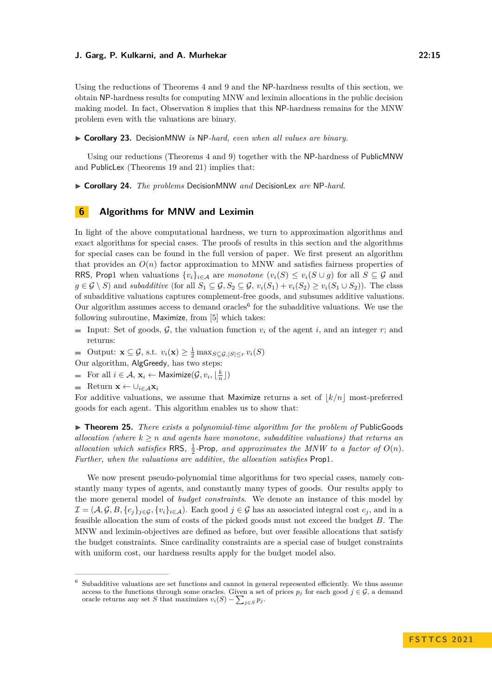Using the reductions of Theorems [4](#page-5-0) and [9](#page-7-2) and the NP-hardness results of this section, we obtain NP-hardness results for computing MNW and leximin allocations in the public decision making model. In fact, Observation [8](#page-7-0) implies that this NP-hardness remains for the MNW problem even with the valuations are binary.

<span id="page-14-0"></span>▶ **Corollary 23.** DecisionMNW *is* NP*-hard, even when all values are binary.*

Using our reductions (Theorems [4](#page-5-0) and [9\)](#page-7-2) together with the NP-hardness of PublicMNW and PublicLex (Theorems [19](#page-13-3) and [21\)](#page-13-0) implies that:

▶ **Corollary 24.** *The problems* DecisionMNW *and* DecisionLex *are* NP*-hard.*

# **6 Algorithms for MNW and Leximin**

In light of the above computational hardness, we turn to approximation algorithms and exact algorithms for special cases. The proofs of results in this section and the algorithms for special cases can be found in the full version of paper. We first present an algorithm that provides an  $O(n)$  factor approximation to MNW and satisfies fairness properties of RRS, Prop1 when valuations  $\{v_i\}_{i\in\mathcal{A}}$  are *monotone*  $(v_i(S) \leq v_i(S \cup g)$  for all  $S \subseteq \mathcal{G}$  and *g* ∈ G \ S) and *subadditive* (for all  $S_1$  ⊆ G,  $S_2$  ⊆ G,  $v_i(S_1) + v_i(S_2) \ge v_i(S_1 \cup S_2)$ ). The class of subadditive valuations captures complement-free goods, and subsumes additive valuations. Our algorithm assumes access to demand oracles<sup>[6](#page-14-1)</sup> for the subadditive valuations. We use the following subroutine, Maximize, from [\[5\]](#page-16-18) which takes:

Input: Set of goods,  $G$ , the valuation function  $v_i$  of the agent *i*, and an integer *r*; and returns:

Output:  $\mathbf{x} \subseteq \mathcal{G}$ , s.t.  $v_i(\mathbf{x}) \geq \frac{1}{2} \max_{S \subseteq \mathcal{G}, |S| \leq r} v_i(S)$ 

Our algorithm, AlgGreedy, has two steps:

For all  $i \in \mathcal{A}$ ,  $\mathbf{x}_i \leftarrow \textsf{Maximize}(\mathcal{G}, v_i, \lfloor \frac{k}{n} \rfloor)$ 

Return **x** ← ∪*i*∈A**x***<sup>i</sup>*

For additive valuations, we assume that Maximize returns a set of  $|k/n|$  most-preferred goods for each agent. This algorithm enables us to show that:

▶ **Theorem 25.** *There exists a polynomial-time algorithm for the problem of* PublicGoods *allocation (where*  $k \geq n$  *and agents have monotone, subadditive valuations) that returns an allocation which satisfies* RRS,  $\frac{1}{2}$ -Prop, and approximates the MNW to a factor of  $O(n)$ . *Further, when the valuations are additive, the allocation satisfies* Prop1*.*

We now present pseudo-polynomial time algorithms for two special cases, namely constantly many types of agents, and constantly many types of goods. Our results apply to the more general model of *budget constraints*. We denote an instance of this model by  $\mathcal{I} = (\mathcal{A}, \mathcal{G}, B, \{c_j\}_{j \in \mathcal{G}}, \{v_i\}_{i \in \mathcal{A}})$ . Each good  $j \in \mathcal{G}$  has an associated integral cost  $c_j$ , and in a feasible allocation the sum of costs of the picked goods must not exceed the budget *B*. The MNW and leximin-objectives are defined as before, but over feasible allocations that satisfy the budget constraints. Since cardinality constraints are a special case of budget constraints with uniform cost, our hardness results apply for the budget model also.

<span id="page-14-1"></span><sup>6</sup> Subadditive valuations are set functions and cannot in general represented efficiently. We thus assume access to the functions through some oracles. Given a set of prices  $p_j$  for each good  $j \in \mathcal{G}$ , a demand oracle returns any set *S* that maximizes  $v_i(S) - \sum_{j \in S} p_j$ .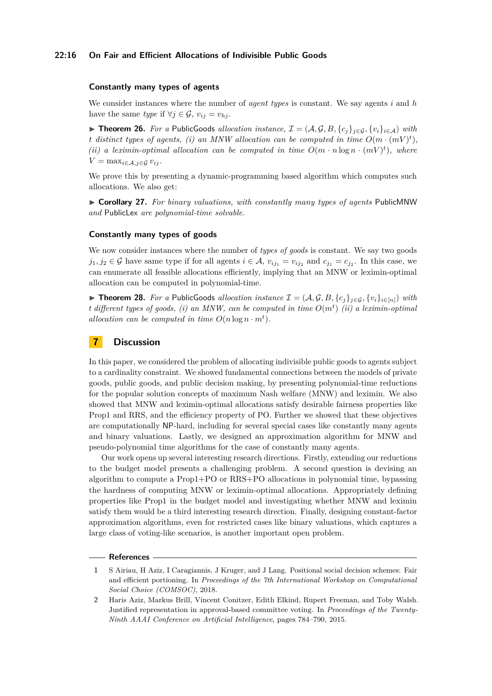# **22:16 On Fair and Efficient Allocations of Indivisible Public Goods**

## **Constantly many types of agents**

We consider instances where the number of *agent types* is constant. We say agents *i* and *h* have the same *type* if  $\forall j \in \mathcal{G}$ ,  $v_{ij} = v_{hj}$ .

▶ **Theorem 26.** For a PublicGoods allocation instance,  $\mathcal{I} = (\mathcal{A}, \mathcal{G}, B, \{c_i\}_{i \in \mathcal{G}}, \{v_i\}_{i \in \mathcal{A}})$  with *t* distinct types of agents, (i) an MNW allocation can be computed in time  $O(m \cdot (mV)^t)$ , *(ii) a leximin-optimal allocation can be computed in time*  $O(m \cdot n \log n \cdot (mV)^t)$ *, where*  $V = \max_{i \in \mathcal{A}, j \in \mathcal{G}} v_{ij}$ .

We prove this by presenting a dynamic-programming based algorithm which computes such allocations. We also get:

▶ **Corollary 27.** *For binary valuations, with constantly many types of agents* PublicMNW *and* PublicLex *are polynomial-time solvable.*

## **Constantly many types of goods**

We now consider instances where the number of *types of goods* is constant. We say two goods *j*<sub>1</sub>, *j*<sub>2</sub> ∈ G have same type if for all agents  $i \in \mathcal{A}$ ,  $v_{ij_1} = v_{ij_2}$  and  $c_{j_1} = c_{j_2}$ . In this case, we can enumerate all feasible allocations efficiently, implying that an MNW or leximin-optimal allocation can be computed in polynomial-time.

▶ **Theorem 28.** For a PublicGoods allocation instance  $\mathcal{I} = (\mathcal{A}, \mathcal{G}, B, \{c_j\}_{j \in \mathcal{G}}, \{v_i\}_{i \in [n]})$  with *t different types of goods, (i) an MNW, can be computed in time O*(*m<sup>t</sup>* ) *(ii) a leximin-optimal allocation can be computed in time*  $O(n \log n \cdot m^t)$ *.* 

# **7 Discussion**

In this paper, we considered the problem of allocating indivisible public goods to agents subject to a cardinality constraint. We showed fundamental connections between the models of private goods, public goods, and public decision making, by presenting polynomial-time reductions for the popular solution concepts of maximum Nash welfare (MNW) and leximin. We also showed that MNW and leximin-optimal allocations satisfy desirable fairness properties like Prop1 and RRS, and the efficiency property of PO. Further we showed that these objectives are computationally NP-hard, including for several special cases like constantly many agents and binary valuations. Lastly, we designed an approximation algorithm for MNW and pseudo-polynomial time algorithms for the case of constantly many agents.

Our work opens up several interesting research directions. Firstly, extending our reductions to the budget model presents a challenging problem. A second question is devising an algorithm to compute a Prop1+PO or RRS+PO allocations in polynomial time, bypassing the hardness of computing MNW or leximin-optimal allocations. Appropriately defining properties like Prop1 in the budget model and investigating whether MNW and leximin satisfy them would be a third interesting research direction. Finally, designing constant-factor approximation algorithms, even for restricted cases like binary valuations, which captures a large class of voting-like scenarios, is another important open problem.

## **References**

<span id="page-15-1"></span>**<sup>1</sup>** S Airiau, H Aziz, I Caragiannis, J Kruger, and J Lang. Positional social decision schemes: Fair and efficient portioning. In *Proceedings of the 7th International Workshop on Computational Social Choice (COMSOC)*, 2018.

<span id="page-15-0"></span>**<sup>2</sup>** Haris Aziz, Markus Brill, Vincent Conitzer, Edith Elkind, Rupert Freeman, and Toby Walsh. Justified representation in approval-based committee voting. In *Proceedings of the Twenty-Ninth AAAI Conference on Artificial Intelligence*, pages 784–790, 2015.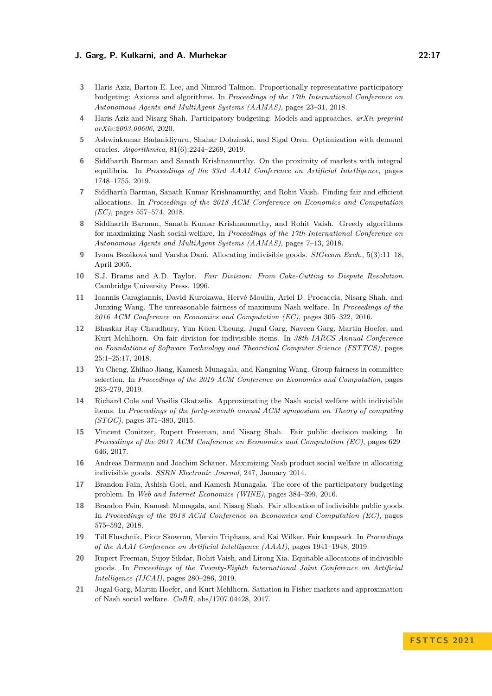- <span id="page-16-15"></span>**3** Haris Aziz, Barton E. Lee, and Nimrod Talmon. Proportionally representative participatory budgeting: Axioms and algorithms. In *Proceedings of the 17th International Conference on Autonomous Agents and MultiAgent Systems (AAMAS)*, pages 23–31, 2018.
- <span id="page-16-16"></span>**4** Haris Aziz and Nisarg Shah. Participatory budgeting: Models and approaches. *arXiv preprint arXiv:2003.00606*, 2020.
- <span id="page-16-18"></span>**5** Ashwinkumar Badanidiyuru, Shahar Dobzinski, and Sigal Oren. Optimization with demand oracles. *Algorithmica*, 81(6):2244–2269, 2019.
- <span id="page-16-3"></span>**6** Siddharth Barman and Sanath Krishnamurthy. On the proximity of markets with integral equilibria. In *Proceedings of the 33rd AAAI Conference on Artificial Intelligence*, pages 1748–1755, 2019.
- <span id="page-16-11"></span>**7** Siddharth Barman, Sanath Kumar Krishnamurthy, and Rohit Vaish. Finding fair and efficient allocations. In *Proceedings of the 2018 ACM Conference on Economics and Computation (EC)*, pages 557–574, 2018.
- <span id="page-16-9"></span>**8** Siddharth Barman, Sanath Kumar Krishnamurthy, and Rohit Vaish. Greedy algorithms for maximizing Nash social welfare. In *Proceedings of the 17th International Conference on Autonomous Agents and MultiAgent Systems (AAMAS)*, pages 7–13, 2018.
- <span id="page-16-6"></span>**9** Ivona Bezáková and Varsha Dani. Allocating indivisible goods. *SIGecom Exch.*, 5(3):11–18, April 2005.
- <span id="page-16-0"></span>**10** S.J. Brams and A.D. Taylor. *Fair Division: From Cake-Cutting to Dispute Resolution*. Cambridge University Press, 1996.
- <span id="page-16-4"></span>**11** Ioannis Caragiannis, David Kurokawa, Hervé Moulin, Ariel D. Procaccia, Nisarg Shah, and Junxing Wang. The unreasonable fairness of maximum Nash welfare. In *Proceedings of the 2016 ACM Conference on Economics and Computation (EC)*, pages 305–322, 2016.
- <span id="page-16-12"></span>**12** Bhaskar Ray Chaudhury, Yun Kuen Cheung, Jugal Garg, Naveen Garg, Martin Hoefer, and Kurt Mehlhorn. On fair division for indivisible items. In *38th IARCS Annual Conference on Foundations of Software Technology and Theoretical Computer Science (FSTTCS)*, pages 25:1–25:17, 2018.
- <span id="page-16-1"></span>**13** Yu Cheng, Zhihao Jiang, Kamesh Munagala, and Kangning Wang. Group fairness in committee selection. In *Proceedings of the 2019 ACM Conference on Economics and Computation*, pages 263–279, 2019.
- <span id="page-16-10"></span>**14** Richard Cole and Vasilis Gkatzelis. Approximating the Nash social welfare with indivisible items. In *Proceedings of the forty-seventh annual ACM symposium on Theory of computing (STOC)*, pages 371–380, 2015.
- <span id="page-16-2"></span>**15** Vincent Conitzer, Rupert Freeman, and Nisarg Shah. Fair public decision making. In *Proceedings of the 2017 ACM Conference on Economics and Computation (EC)*, pages 629– 646, 2017.
- <span id="page-16-7"></span>**16** Andreas Darmann and Joachim Schauer. Maximizing Nash product social welfare in allocating indivisible goods. *SSRN Electronic Journal*, 247, January 2014.
- <span id="page-16-17"></span>**17** Brandon Fain, Ashish Goel, and Kamesh Munagala. The core of the participatory budgeting problem. In *Web and Internet Economics (WINE)*, pages 384–399, 2016.
- <span id="page-16-13"></span>**18** Brandon Fain, Kamesh Munagala, and Nisarg Shah. Fair allocation of indivisible public goods. In *Proceedings of the 2018 ACM Conference on Economics and Computation (EC)*, pages 575–592, 2018.
- <span id="page-16-14"></span>**19** Till Fluschnik, Piotr Skowron, Mervin Triphaus, and Kai Wilker. Fair knapsack. In *Proceedings of the AAAI Conference on Artificial Intelligence (AAAI)*, pages 1941–1948, 2019.
- <span id="page-16-8"></span>**20** Rupert Freeman, Sujoy Sikdar, Rohit Vaish, and Lirong Xia. Equitable allocations of indivisible goods. In *Proceedings of the Twenty-Eighth International Joint Conference on Artificial Intelligence (IJCAI)*, pages 280–286, 2019.
- <span id="page-16-5"></span>**21** Jugal Garg, Martin Hoefer, and Kurt Mehlhorn. Satiation in Fisher markets and approximation of Nash social welfare. *CoRR*, abs/1707.04428, 2017.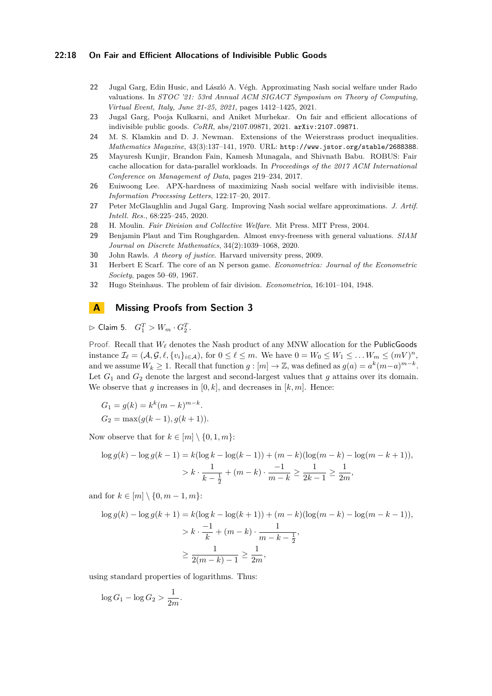## **22:18 On Fair and Efficient Allocations of Indivisible Public Goods**

- <span id="page-17-5"></span>**22** Jugal Garg, Edin Husic, and László A. Végh. Approximating Nash social welfare under Rado valuations. In *STOC '21: 53rd Annual ACM SIGACT Symposium on Theory of Computing, Virtual Event, Italy, June 21-25, 2021*, pages 1412–1425, 2021.
- <span id="page-17-0"></span>**23** Jugal Garg, Pooja Kulkarni, and Aniket Murhekar. On fair and efficient allocations of indivisible public goods. *CoRR*, abs/2107.09871, 2021. [arXiv:2107.09871](http://arxiv.org/abs/2107.09871).
- <span id="page-17-11"></span>**24** M. S. Klamkin and D. J. Newman. Extensions of the Weierstrass product inequalities. *Mathematics Magazine*, 43(3):137–141, 1970. URL: <http://www.jstor.org/stable/2688388>.
- <span id="page-17-9"></span>**25** Mayuresh Kunjir, Brandon Fain, Kamesh Munagala, and Shivnath Babu. ROBUS: Fair cache allocation for data-parallel workloads. In *Proceedings of the 2017 ACM International Conference on Management of Data*, pages 219–234, 2017.
- <span id="page-17-4"></span>**26** Euiwoong Lee. APX-hardness of maximizing Nash social welfare with indivisible items. *Information Processing Letters*, 122:17–20, 2017.
- <span id="page-17-3"></span>**27** Peter McGlaughlin and Jugal Garg. Improving Nash social welfare approximations. *J. Artif. Intell. Res.*, 68:225–245, 2020.
- <span id="page-17-2"></span>**28** H. Moulin. *Fair Division and Collective Welfare*. Mit Press. MIT Press, 2004.
- <span id="page-17-7"></span>**29** Benjamin Plaut and Tim Roughgarden. Almost envy-freeness with general valuations. *SIAM Journal on Discrete Mathematics*, 34(2):1039–1068, 2020.
- <span id="page-17-6"></span>**30** John Rawls. *A theory of justice*. Harvard university press, 2009.
- <span id="page-17-8"></span>**31** Herbert E Scarf. The core of an N person game. *Econometrica: Journal of the Econometric Society*, pages 50–69, 1967.
- <span id="page-17-1"></span>**32** Hugo Steinhaus. The problem of fair division. *Econometrica*, 16:101–104, 1948.

# <span id="page-17-10"></span>**A Missing Proofs from Section [3](#page-5-1)**

 $\triangleright$  Claim 5.  $G_1^T > W_m \cdot G_2^T$ .

Proof. Recall that *W<sup>ℓ</sup>* denotes the Nash product of any MNW allocation for the PublicGoods instance  $\mathcal{I}_{\ell} = (\mathcal{A}, \mathcal{G}, \ell, \{v_i\}_{i \in \mathcal{A}}),$  for  $0 \leq \ell \leq m$ . We have  $0 = W_0 \leq W_1 \leq \ldots W_m \leq (mV)^n$ , and we assume  $W_k \ge 1$ . Recall that function  $g : [m] \to \mathbb{Z}$ , was defined as  $g(a) = a^k(m-a)^{m-k}$ . Let  $G_1$  and  $G_2$  denote the largest and second-largest values that *g* attains over its domain. We observe that *g* increases in  $[0, k]$ , and decreases in  $[k, m]$ . Hence:

$$
G_1 = g(k) = k^k (m - k)^{m - k}.
$$
  
\n
$$
G_2 = \max(g(k - 1), g(k + 1)).
$$

Now observe that for  $k \in [m] \setminus \{0, 1, m\}$ :

$$
\log g(k) - \log g(k-1) = k(\log k - \log(k-1)) + (m-k)(\log(m-k) - \log(m-k+1)),
$$
  
>  $k \cdot \frac{1}{k - \frac{1}{2}} + (m - k) \cdot \frac{-1}{m - k} \ge \frac{1}{2k - 1} \ge \frac{1}{2m},$ 

and for  $k \in [m] \setminus \{0, m-1, m\}$ :

$$
\log g(k) - \log g(k+1) = k(\log k - \log(k+1)) + (m-k)(\log(m-k) - \log(m-k-1)),
$$
  
>  $k \cdot \frac{-1}{k} + (m-k) \cdot \frac{1}{m-k - \frac{1}{2}},$   
 $\ge \frac{1}{2(m-k) - 1} \ge \frac{1}{2m},$ 

using standard properties of logarithms. Thus:

 $\log G_1 - \log G_2 > \frac{1}{2r}$  $\frac{1}{2m}$